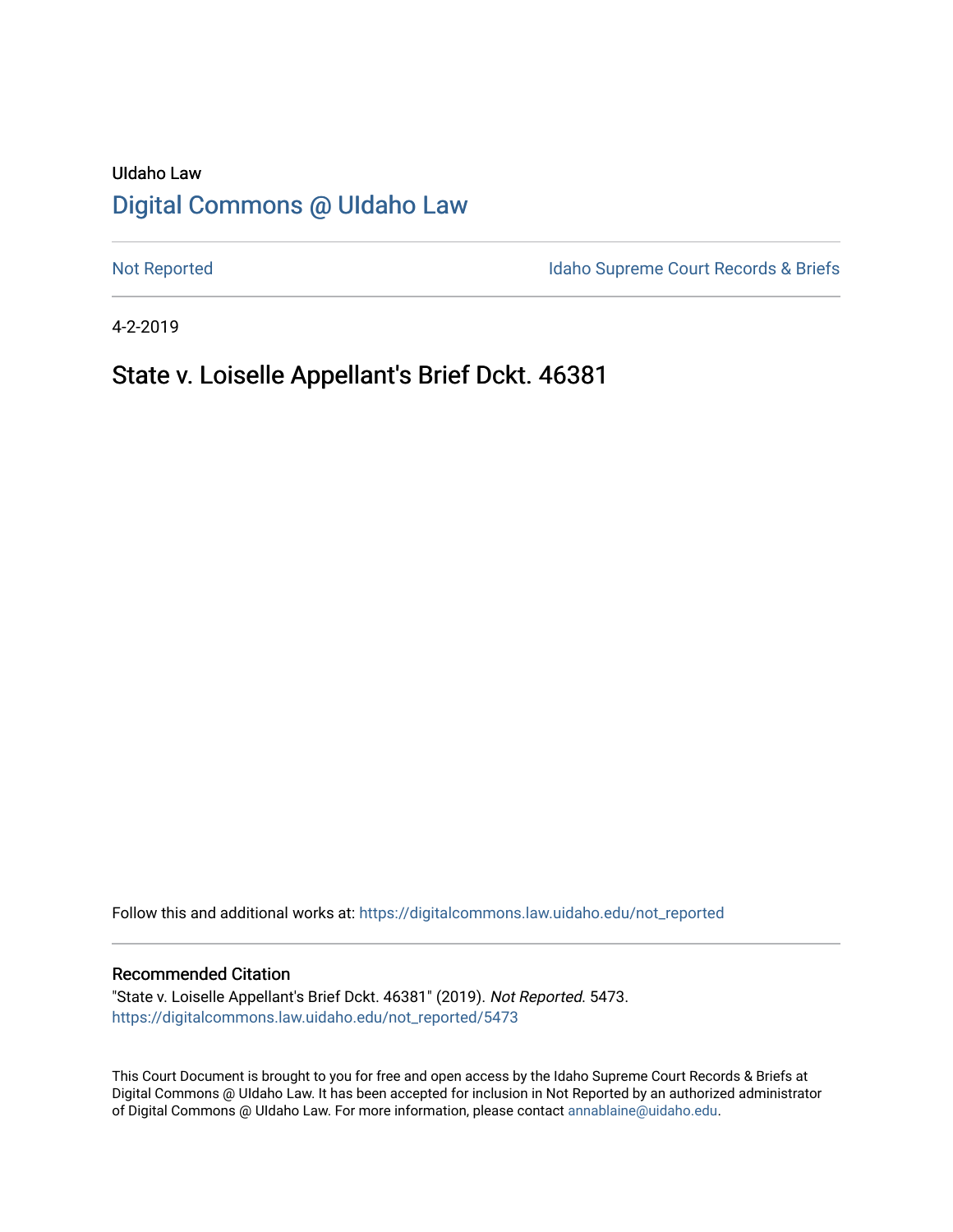# UIdaho Law [Digital Commons @ UIdaho Law](https://digitalcommons.law.uidaho.edu/)

[Not Reported](https://digitalcommons.law.uidaho.edu/not_reported) **Idaho Supreme Court Records & Briefs** 

4-2-2019

# State v. Loiselle Appellant's Brief Dckt. 46381

Follow this and additional works at: [https://digitalcommons.law.uidaho.edu/not\\_reported](https://digitalcommons.law.uidaho.edu/not_reported?utm_source=digitalcommons.law.uidaho.edu%2Fnot_reported%2F5473&utm_medium=PDF&utm_campaign=PDFCoverPages) 

### Recommended Citation

"State v. Loiselle Appellant's Brief Dckt. 46381" (2019). Not Reported. 5473. [https://digitalcommons.law.uidaho.edu/not\\_reported/5473](https://digitalcommons.law.uidaho.edu/not_reported/5473?utm_source=digitalcommons.law.uidaho.edu%2Fnot_reported%2F5473&utm_medium=PDF&utm_campaign=PDFCoverPages)

This Court Document is brought to you for free and open access by the Idaho Supreme Court Records & Briefs at Digital Commons @ UIdaho Law. It has been accepted for inclusion in Not Reported by an authorized administrator of Digital Commons @ UIdaho Law. For more information, please contact [annablaine@uidaho.edu](mailto:annablaine@uidaho.edu).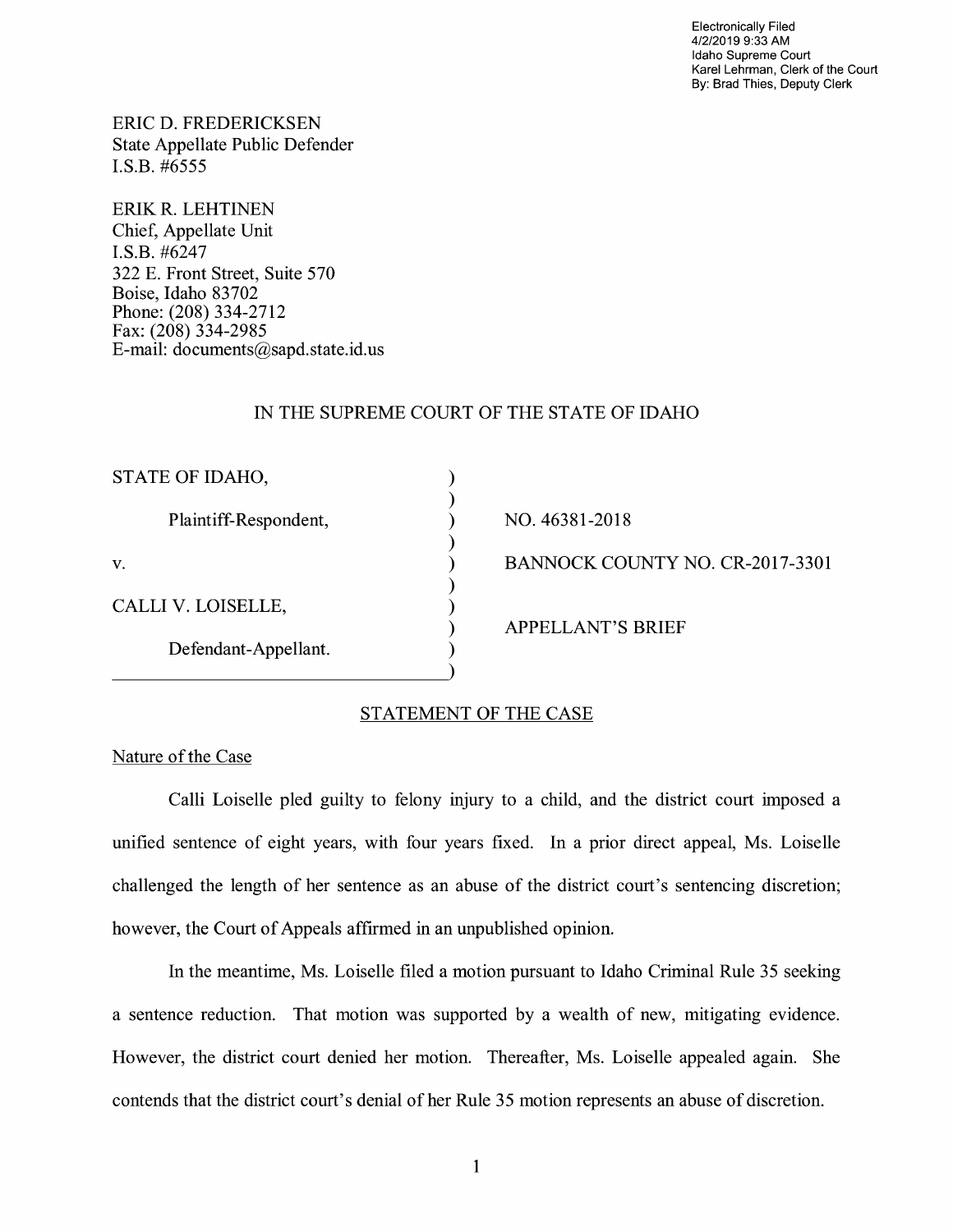Electronically Filed 4/2/2019 9:33 AM Idaho Supreme Court Karel Lehrman, Clerk of the Court By: Brad Thies, Deputy Clerk

ERIC D. FREDERICKSEN State Appellate Public Defender I.S.B. #6555

ERIK R. LEHTINEN Chief, Appellate Unit I.S.B. #6247 322 E. Front Street, Suite 570 Boise, Idaho 83702 Phone: (208) 334-2712 Fax: (208) 334-2985 E-mail: documents@sapd.state.id. us

## IN THE SUPREME COURT OF THE STATE OF IDAHO

) ) ) ) ) ) ) ) )

| STATE OF IDAHO,       |  |
|-----------------------|--|
| Plaintiff-Respondent, |  |
| V.                    |  |
| CALLI V. LOISELLE,    |  |
| Defendant-Appellant.  |  |

NO. 46381-2018 BANNOCK COUNTY NO. CR-2017-3301 APPELLANT'S BRIEF

# STATEMENT OF THE CASE

Nature of the Case

Calli Loiselle pled guilty to felony injury to a child, and the district court imposed a unified sentence of eight years, with four years fixed. In a prior direct appeal, Ms. Loiselle challenged the length of her sentence as an abuse of the district court's sentencing discretion; however, the Court of Appeals affirmed in an unpublished opinion.

In the meantime, Ms. Loiselle filed a motion pursuant to Idaho Criminal Rule 35 seeking a sentence reduction. That motion was supported by a wealth of new, mitigating evidence. However, the district court denied her motion. Thereafter, Ms. Loiselle appealed again. She contends that the district court's denial of her Rule 35 motion represents an abuse of discretion.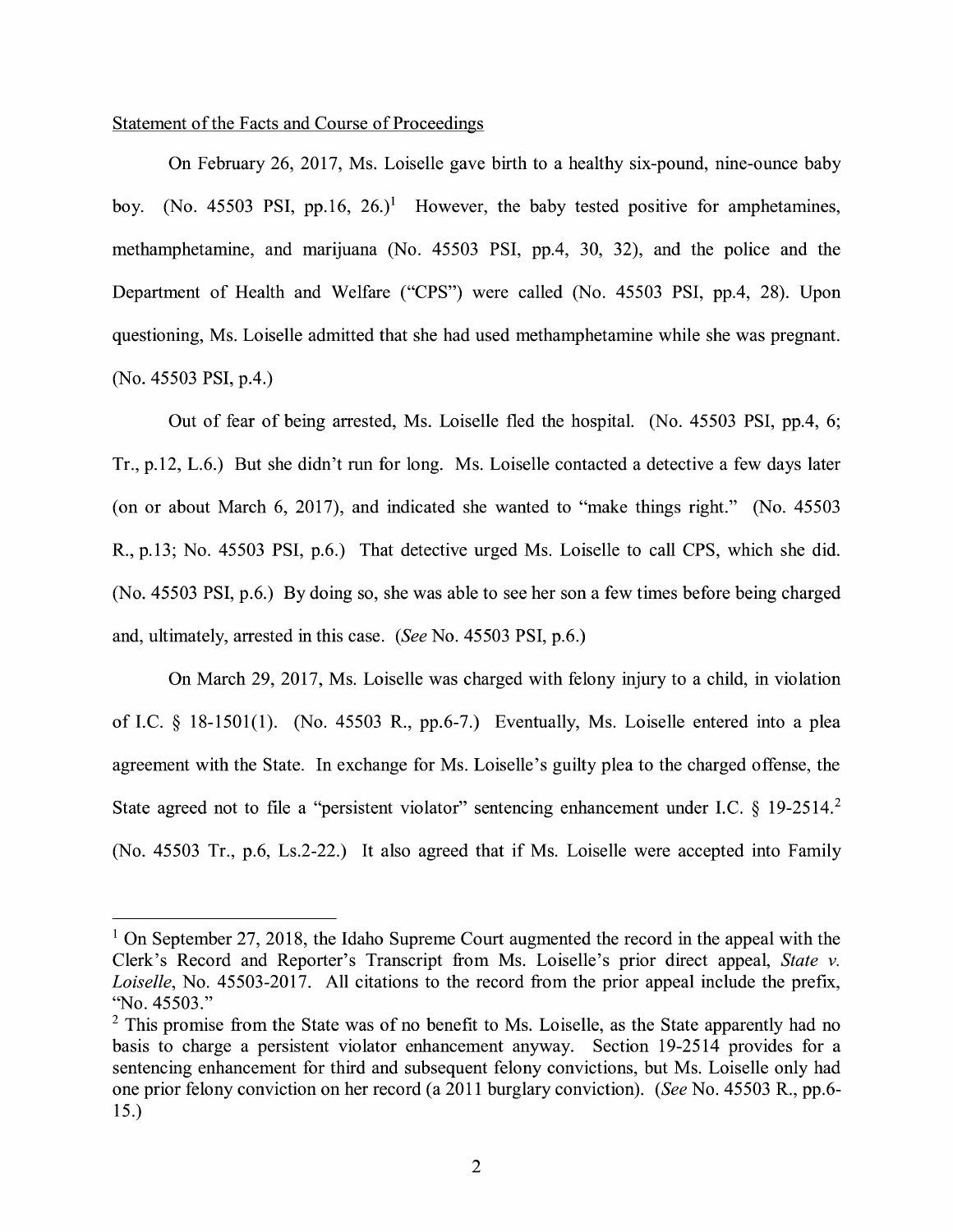## Statement of the Facts and Course of Proceedings

On February 26, 2017, Ms. Loiselle gave birth to a healthy six-pound, nine-ounce baby boy. (No. 45503 PSI, pp.16,  $26.$ )<sup>1</sup> However, the baby tested positive for amphetamines, methamphetamine, and marijuana (No. 45503 PSI, pp.4, 30, 32), and the police and the Department of Health and Welfare ("CPS") were called (No. 45503 PSI, pp.4, 28). Upon questioning, Ms. Loiselle admitted that she had used methamphetamine while she was pregnant. (No. 45503 PSI, p.4.)

Out of fear of being arrested, Ms. Loiselle fled the hospital. (No. 45503 PSI, pp.4, 6; Tr., p.12, L.6.) But she didn't run for long. Ms. Loiselle contacted a detective a few days later (on or about March 6, 2017), and indicated she wanted to "make things right." (No. 45503 R., p.13; No. 45503 PSI, p.6.) That detective urged Ms. Loiselle to call CPS, which she did. (No. 45503 PSI, p.6.) By doing so, she was able to see her son a few times before being charged and, ultimately, arrested in this case. *(See* No. 45503 PSI, p.6.)

On March 29, 2017, Ms. Loiselle was charged with felony injury to a child, in violation of I.C.  $\S$  18-1501(1). (No. 45503 R., pp.6-7.) Eventually, Ms. Loiselle entered into a plea agreement with the State. In exchange for Ms. Loiselle's guilty plea to the charged offense, the State agreed not to file a "persistent violator" sentencing enhancement under I.C. § 19-2514.<sup>2</sup> (No. 45503 Tr., p.6, Ls.2-22.) It also agreed that if Ms. Loiselle were accepted into Family

<sup>&</sup>lt;sup>1</sup> On September 27, 2018, the Idaho Supreme Court augmented the record in the appeal with the Clerk's Record and Reporter's Transcript from Ms. Loiselle's prior direct appeal, *State v. Loiselle,* No. 45503-2017. All citations to the record from the prior appeal include the prefix, "No. 45503."

 $2$  This promise from the State was of no benefit to Ms. Loiselle, as the State apparently had no basis to charge a persistent violator enhancement anyway. Section 19-2514 provides for a sentencing enhancement for third and subsequent felony convictions, but Ms. Loiselle only had one prior felony conviction on her record (a 2011 burglary conviction). *(See* No. 45503 R., pp.6- 15.)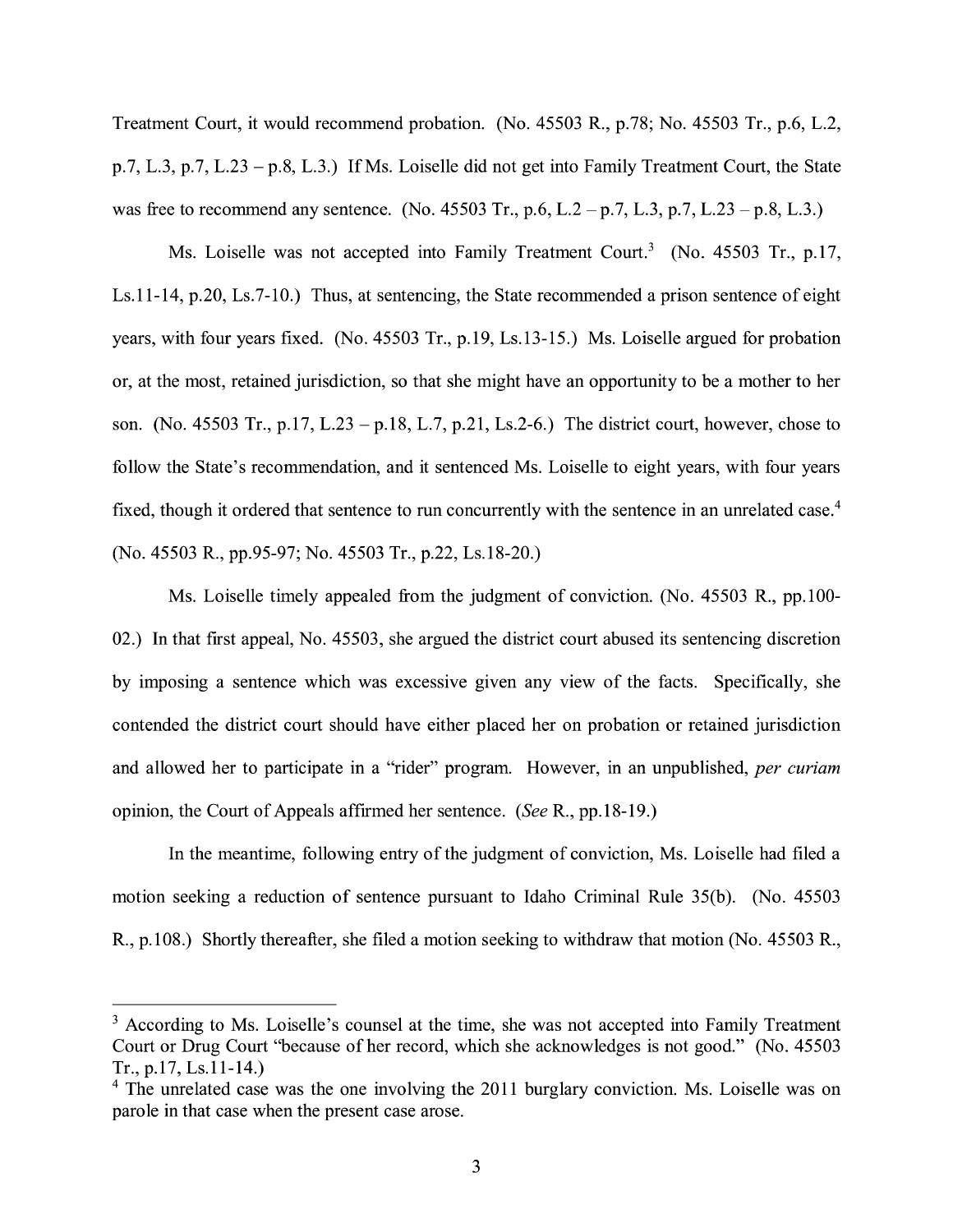Treatment Court, it would recommend probation. (No. 45503 R., p.78; No. 45503 Tr., p.6, L.2, p.7, L.3, p.7, L.23 - p.8, L.3.) If Ms. Loiselle did not get into Family Treatment Court, the State was free to recommend any sentence. (No. 45503 Tr., p.6, L.2 - p.7, L.3, p.7, L.23 - p.8, L.3.)

Ms. Loiselle was not accepted into Family Treatment Court.<sup>3</sup> (No. 45503 Tr., p.17, Ls.11-14, p.20, Ls.7-10.) Thus, at sentencing, the State recommended a prison sentence of eight years, with four years fixed. (No. 45503 Tr., p.19, Ls.13-15.) Ms. Loiselle argued for probation or, at the most, retained jurisdiction, so that she might have an opportunity to be a mother to her son. (No. 45503 Tr., p.17, L.23 - p.18, L.7, p.21, Ls.2-6.) The district court, however, chose to follow the State's recommendation, and it sentenced Ms. Loiselle to eight years, with four years fixed, though it ordered that sentence to run concurrently with the sentence in an unrelated case.<sup>4</sup> (No. 45503 R., pp.95-97; No. 45503 Tr., p.22, Ls.18-20.)

Ms. Loiselle timely appealed from the judgment of conviction. (No. 45503 R., pp.100- 02.) In that first appeal, No. 45503, she argued the district court abused its sentencing discretion by imposing a sentence which was excessive given any view of the facts. Specifically, she contended the district court should have either placed her on probation or retained jurisdiction and allowed her to participate in a "rider" program. However, in an unpublished, *per curiam*  opinion, the Court of Appeals affirmed her sentence. *(See* R., pp.18-19.)

In the meantime, following entry of the judgment of conviction, Ms. Loiselle had filed a motion seeking a reduction of sentence pursuant to Idaho Criminal Rule 35(b). (No. 45503 R., p.108.) Shortly thereafter, she filed a motion seeking to withdraw that motion (No. 45503 R.,

 $3$  According to Ms. Loiselle's counsel at the time, she was not accepted into Family Treatment Court or Drug Court "because of her record, which she acknowledges is not good." (No. 45503 Tr., p.17, Ls.11-14.)

<sup>&</sup>lt;sup>4</sup> The unrelated case was the one involving the 2011 burglary conviction. Ms. Loiselle was on parole in that case when the present case arose.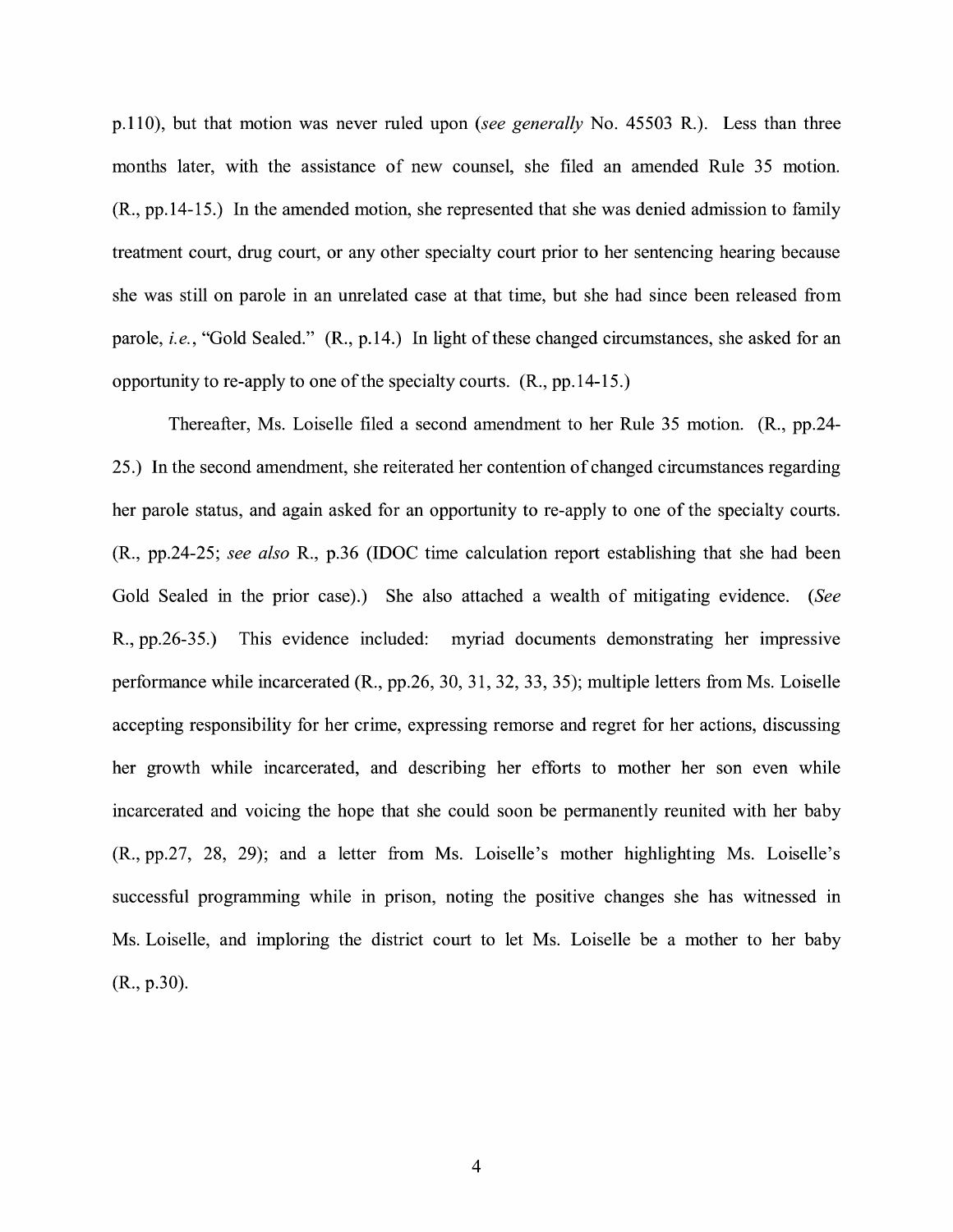p.110), but that motion was never ruled upon *(see generally* No. 45503 R.). Less than three months later, with the assistance of new counsel, she filed an amended Rule 35 motion. (R., pp.14-15.) In the amended motion, she represented that she was denied admission to family treatment court, drug court, or any other specialty court prior to her sentencing hearing because she was still on parole in an unrelated case at that time, but she had since been released from parole, *i.e.,* "Gold Sealed." **(R.,** p.14.) In light of these changed circumstances, she asked for an opportunity to re-apply to one of the specialty courts. **(R.,** pp.14-15.)

Thereafter, Ms. Loiselle filed a second amendment to her Rule 35 motion. **(R.,** pp.24- 25.) In the second amendment, she reiterated her contention of changed circumstances regarding her parole status, and again asked for an opportunity to re-apply to one of the specialty courts. (R., pp.24-25; *see also* R., p.36 (IDOC time calculation report establishing that she had been Gold Sealed in the prior case).) She also attached a wealth of mitigating evidence. *(See*  **R.,** pp.26-35.) This evidence included: myriad documents demonstrating her impressive performance while incarcerated **(R.,** pp.26, 30, 31, 32, 33, 35); multiple letters from Ms. Loiselle accepting responsibility for her crime, expressing remorse and regret for her actions, discussing her growth while incarcerated, and describing her efforts to mother her son even while incarcerated and voicing the hope that she could soon be permanently reunited with her baby (R., pp.27, 28, 29); and a letter from Ms. Loiselle's mother highlighting Ms. Loiselle's successful programming while in prison, noting the positive changes she has witnessed in Ms. Loiselle, and imploring the district court to let Ms. Loiselle be a mother to her baby (R., p.30).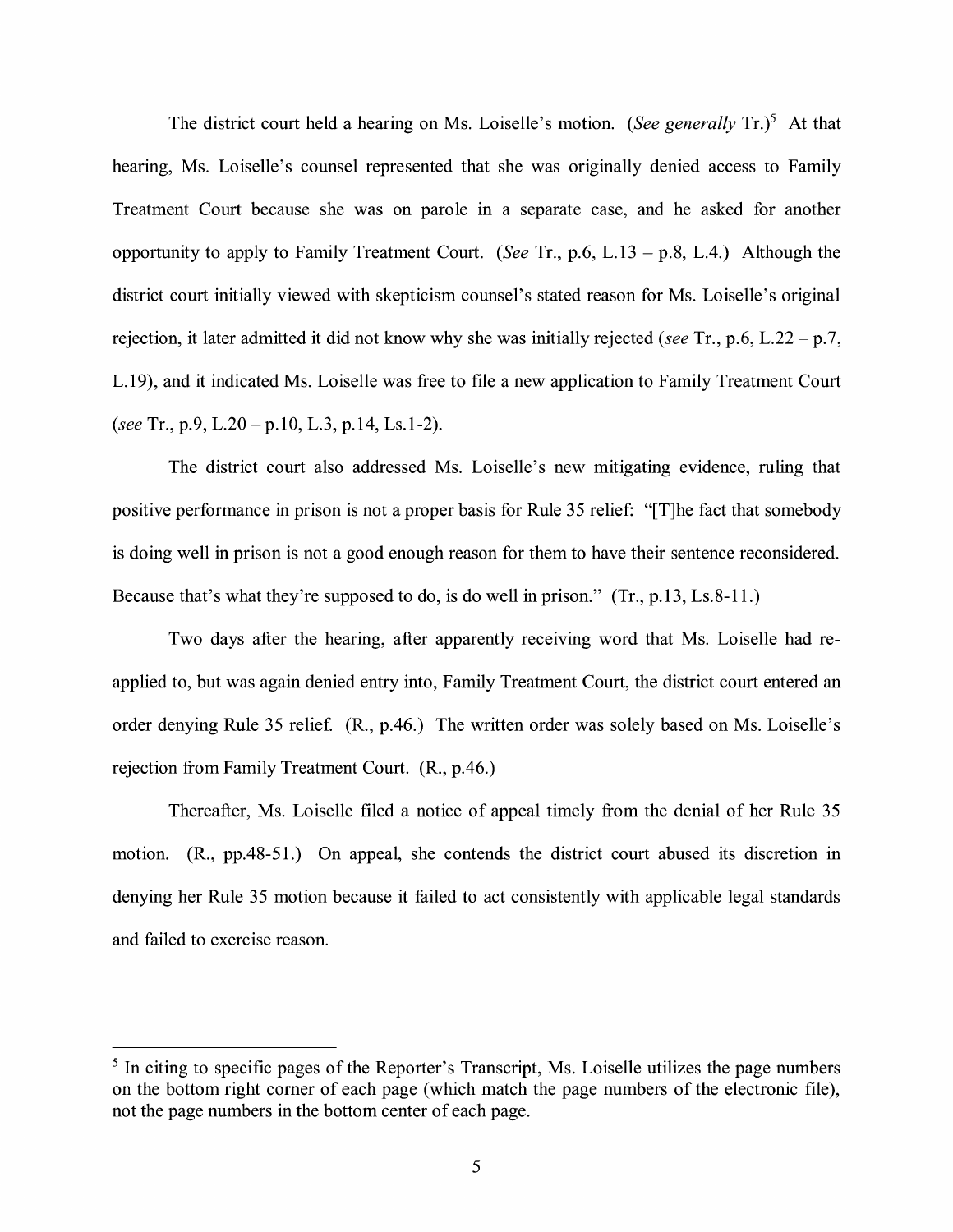The district court held a hearing on Ms. Loiselle's motion. *(See generally Tr.)<sup>5</sup>* At that hearing, Ms. Loiselle's counsel represented that she was originally denied access to Family Treatment Court because she was on parole in a separate case, and he asked for another opportunity to apply to Family Treatment Court. *(See* Tr., p.6, L.13 - p.8, L.4.) Although the district court initially viewed with skepticism counsel's stated reason for Ms. Loiselle's original rejection, it later admitted it did not know why she was initially rejected *(see* Tr., p.6, L.22 - p. 7, L.19), and it indicated Ms. Loiselle was free to file a new application to Family Treatment Court *(see* Tr., p.9, L.20-p.10, L.3, p.14, Ls.1-2).

The district court also addressed Ms. Loiselle's new mitigating evidence, ruling that positive performance in prison is not a proper basis for Rule 35 relief: "[T]he fact that somebody is doing well in prison is not a good enough reason for them to have their sentence reconsidered. Because that's what they're supposed to do, is do well in prison." (Tr., p.13, Ls.8-11.)

Two days after the hearing, after apparently receiving word that Ms. Loiselle had reapplied to, but was again denied entry into, Family Treatment Court, the district court entered an order denying Rule 35 relief. (R., p.46.) The written order was solely based on Ms. Loiselle's rejection from Family Treatment Court. (R., p.46.)

Thereafter, Ms. Loiselle filed a notice of appeal timely from the denial of her Rule 35 motion. (R., pp.48-51.) On appeal, she contends the district court abused its discretion in denying her Rule 35 motion because it failed to act consistently with applicable legal standards and failed to exercise reason.

<sup>&</sup>lt;sup>5</sup> In citing to specific pages of the Reporter's Transcript, Ms. Loiselle utilizes the page numbers on the bottom right comer of each page (which match the page numbers of the electronic file), not the page numbers in the bottom center of each page.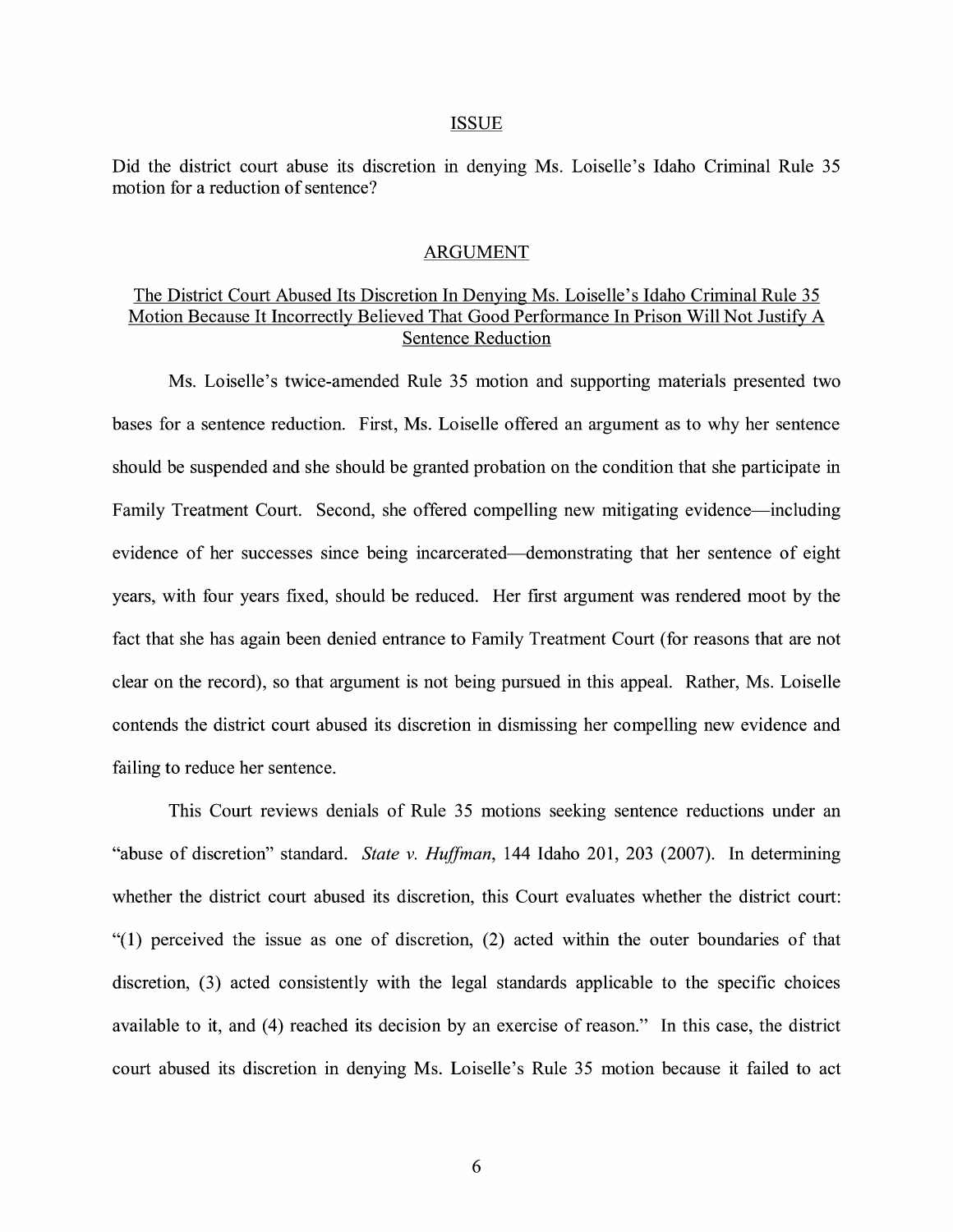#### ISSUE

Did the district court abuse its discretion in denying Ms. Loiselle's Idaho Criminal Rule 35 motion for a reduction of sentence?

### ARGUMENT

# The District Court Abused Its Discretion In Denying Ms. Loiselle's Idaho Criminal Rule 35 Motion Because It Incorrectly Believed That Good Performance In Prison Will Not Justify A Sentence Reduction

Ms. Loiselle's twice-amended Rule 35 motion and supporting materials presented two bases for a sentence reduction. First, Ms. Loiselle offered an argument as to why her sentence should be suspended and she should be granted probation on the condition that she participate in Family Treatment Court. Second, she offered compelling new mitigating evidence—including evidence of her successes since being incarcerated-demonstrating that her sentence of eight years, with four years fixed, should be reduced. Her first argument was rendered moot by the fact that she has again been denied entrance to Family Treatment Court (for reasons that are not clear on the record), so that argument is not being pursued in this appeal. Rather, Ms. Loiselle contends the district court abused its discretion in dismissing her compelling new evidence and failing to reduce her sentence.

This Court reviews denials of Rule 35 motions seeking sentence reductions under an "abuse of discretion" standard. *State v. Huffman,* 144 Idaho 201, 203 (2007). In determining whether the district court abused its discretion, this Court evaluates whether the district court: "(1) perceived the issue as one of discretion, (2) acted within the outer boundaries of that discretion, (3) acted consistently with the legal standards applicable to the specific choices available to it, and (4) reached its decision by an exercise of reason." In this case, the district court abused its discretion in denying Ms. Loiselle's Rule 35 motion because it failed to act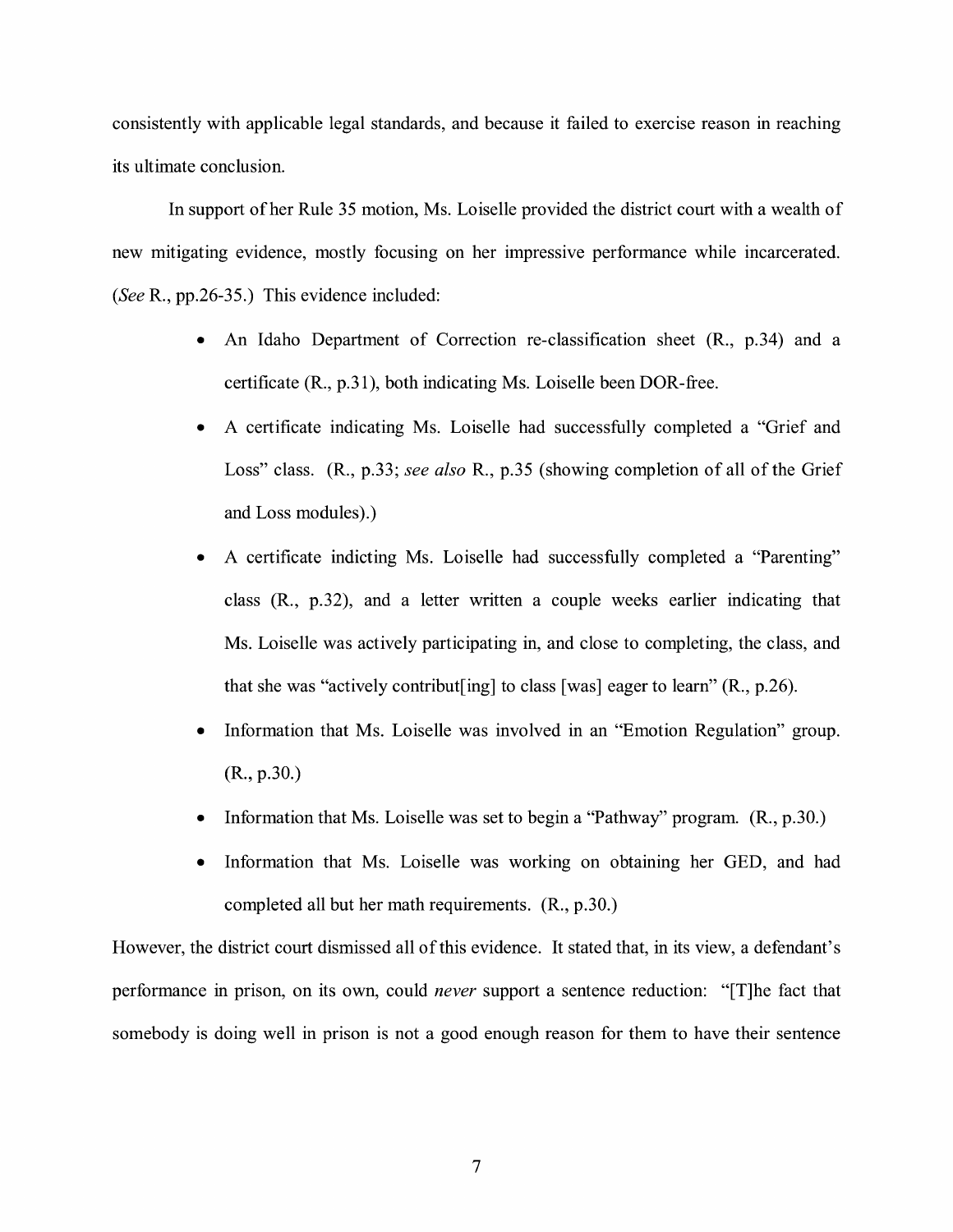consistently with applicable legal standards, and because it failed to exercise reason in reaching its ultimate conclusion.

In support of her Rule 35 motion, Ms. Loiselle provided the district court with a wealth of new mitigating evidence, mostly focusing on her impressive performance while incarcerated. *(See* R., pp.26-35.) This evidence included:

- An Idaho Department of Correction re-classification sheet (R., p.34) and a certificate **(R.,** p.31), both indicating Ms. Loiselle been DOR-free.
- A certificate indicating Ms. Loiselle had successfully completed a "Grief and Loss" class. **(R.,** p.33; *see also* R., p.35 (showing completion of all of the Grief and Loss modules).)
- A certificate indicting Ms. Loiselle had successfully completed a "Parenting" class (R., p.32), and a letter written a couple weeks earlier indicating that Ms. Loiselle was actively participating in, and close to completing, the class, and that she was "actively contribut [ing] to class [was] eager to learn"  $(R., p.26)$ .
- Information that Ms. Loiselle was involved in an "Emotion Regulation" group. (R., p.30.)
- Information that Ms. Loiselle was set to begin a "Pathway" program. (R., p.30.)
- Information that Ms. Loiselle was working on obtaining her GED, and had completed all but her math requirements. (R., p.30.)

However, the district court dismissed all of this evidence. It stated that, in its view, a defendant's performance in prison, on its own, could *never* support a sentence reduction: "[T]he fact that somebody is doing well in prison is not a good enough reason for them to have their sentence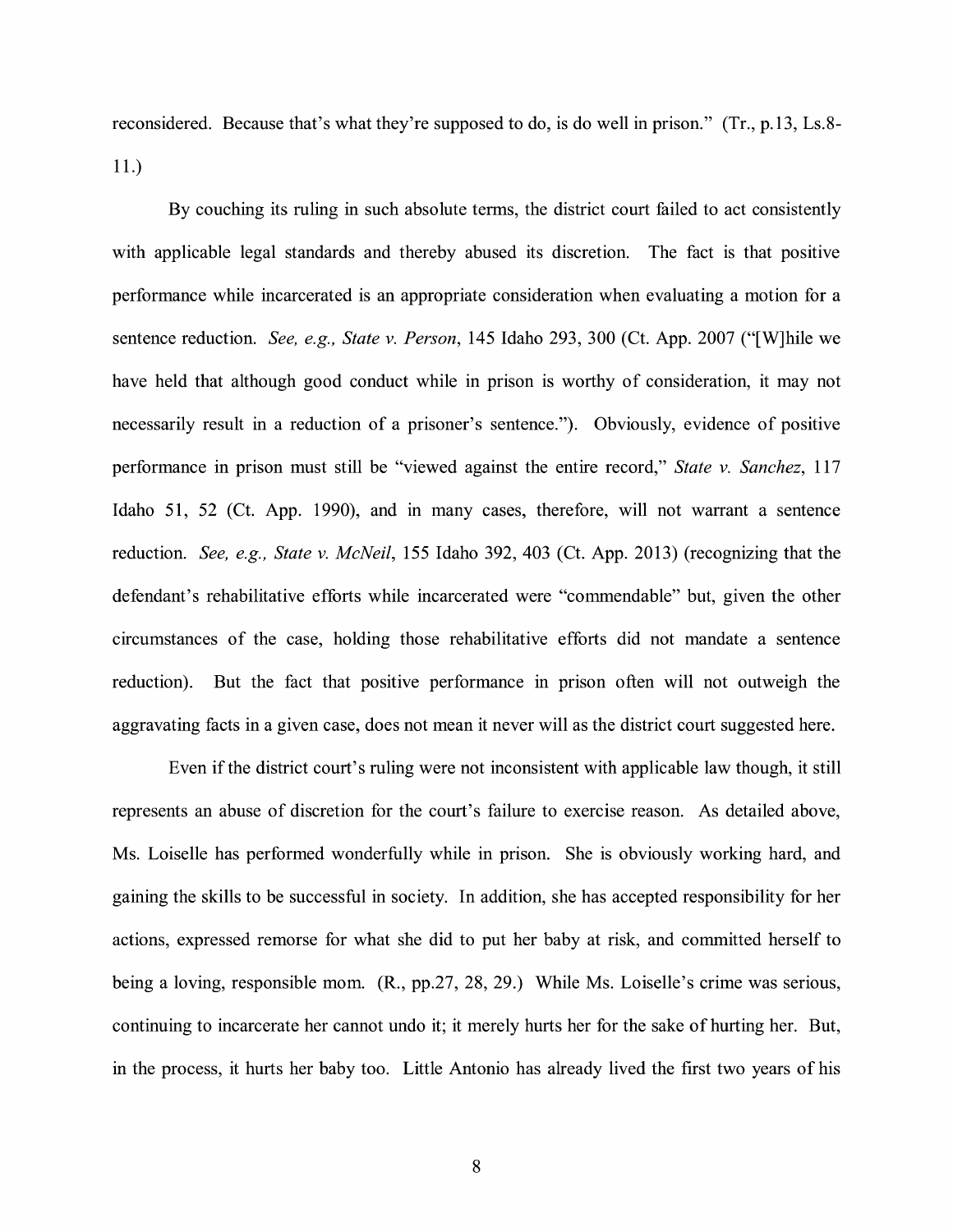reconsidered. Because that's what they're supposed to do, is do well in prison." (Tr., p.13, Ls.8- 11.)

By couching its ruling in such absolute terms, the district court failed to act consistently with applicable legal standards and thereby abused its discretion. The fact is that positive performance while incarcerated is an appropriate consideration when evaluating a motion for a sentence reduction. *See, e.g., State v. Person,* 145 Idaho 293, 300 (Ct. App. 2007 ("[W]hile we have held that although good conduct while in prison is worthy of consideration, it may not necessarily result in a reduction of a prisoner's sentence."). Obviously, evidence of positive performance in prison must still be "viewed against the entire record," *State v. Sanchez,* 117 Idaho 51, 52 (Ct. App. 1990), and in many cases, therefore, will not warrant a sentence reduction. *See, e.g., State v. McNeil,* 155 Idaho 392, 403 (Ct. App. 2013) (recognizing that the defendant's rehabilitative efforts while incarcerated were "commendable" but, given the other circumstances of the case, holding those rehabilitative efforts did not mandate a sentence reduction). But the fact that positive performance in prison often will not outweigh the aggravating facts in a given case, does not mean it never will as the district court suggested here.

Even if the district court's ruling were not inconsistent with applicable law though, it still represents an abuse of discretion for the court's failure to exercise reason. As detailed above, Ms. Loiselle has performed wonderfully while in prison. She is obviously working hard, and gaining the skills to be successful in society. In addition, she has accepted responsibility for her actions, expressed remorse for what she did to put her baby at risk, and committed herself to being a loving, responsible mom. (R., pp.27, 28, 29.) While Ms. Loiselle's crime was serious, continuing to incarcerate her cannot undo it; it merely hurts her for the sake of hurting her. But, in the process, it hurts her baby too. Little Antonio has already lived the first two years of his